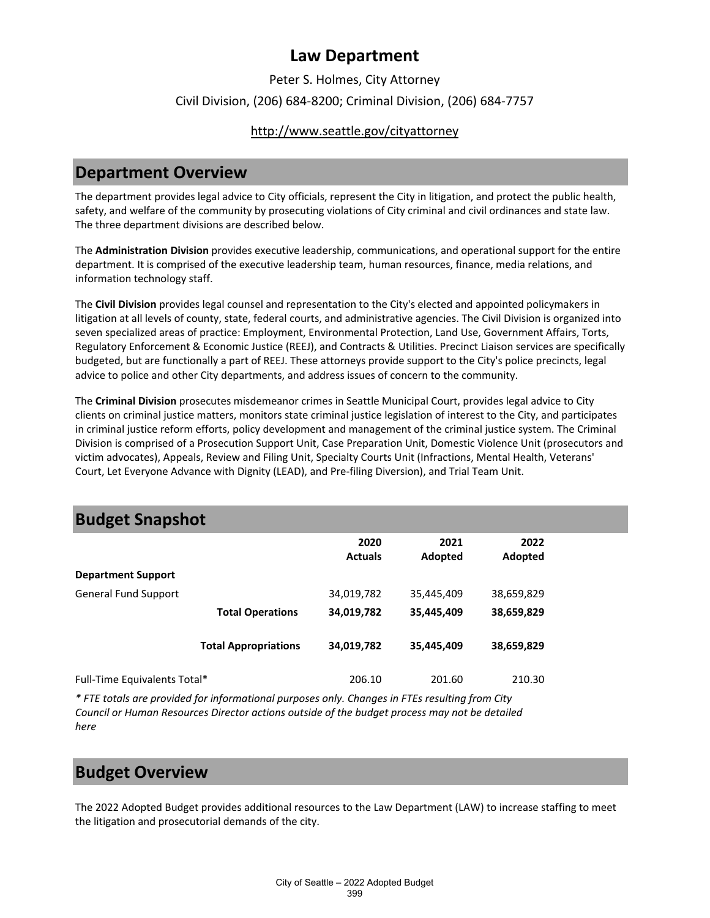### Peter S. Holmes, City Attorney Civil Division, (206) 684-8200; Criminal Division, (206) 684-7757

### <http://www.seattle.gov/cityattorney>

## **Department Overview**

The department provides legal advice to City officials, represent the City in litigation, and protect the public health, safety, and welfare of the community by prosecuting violations of City criminal and civil ordinances and state law. The three department divisions are described below.

The **Administration Division** provides executive leadership, communications, and operational support for the entire department. It is comprised of the executive leadership team, human resources, finance, media relations, and information technology staff.

The **Civil Division** provides legal counsel and representation to the City's elected and appointed policymakers in litigation at all levels of county, state, federal courts, and administrative agencies. The Civil Division is organized into seven specialized areas of practice: Employment, Environmental Protection, Land Use, Government Affairs, Torts, Regulatory Enforcement & Economic Justice (REEJ), and Contracts & Utilities. Precinct Liaison services are specifically budgeted, but are functionally a part of REEJ. These attorneys provide support to the City's police precincts, legal advice to police and other City departments, and address issues of concern to the community.

The **Criminal Division** prosecutes misdemeanor crimes in Seattle Municipal Court, provides legal advice to City clients on criminal justice matters, monitors state criminal justice legislation of interest to the City, and participates in criminal justice reform efforts, policy development and management of the criminal justice system. The Criminal Division is comprised of a Prosecution Support Unit, Case Preparation Unit, Domestic Violence Unit (prosecutors and victim advocates), Appeals, Review and Filing Unit, Specialty Courts Unit (Infractions, Mental Health, Veterans' Court, Let Everyone Advance with Dignity (LEAD), and Pre-filing Diversion), and Trial Team Unit.

## **Budget Snapshot**

|                              |                             | 2020<br><b>Actuals</b> | 2021<br>Adopted | 2022<br>Adopted |  |
|------------------------------|-----------------------------|------------------------|-----------------|-----------------|--|
| <b>Department Support</b>    |                             |                        |                 |                 |  |
| <b>General Fund Support</b>  |                             | 34,019,782             | 35,445,409      | 38,659,829      |  |
|                              | <b>Total Operations</b>     | 34,019,782             | 35,445,409      | 38,659,829      |  |
|                              | <b>Total Appropriations</b> | 34,019,782             | 35,445,409      | 38,659,829      |  |
| Full-Time Equivalents Total* |                             | 206.10                 | 201.60          | 210.30          |  |

*\* FTE totals are provided for informational purposes only. Changes in FTEs resulting from City Council or Human Resources Director actions outside of the budget process may not be detailed here*

## **Budget Overview**

The 2022 Adopted Budget provides additional resources to the Law Department (LAW) to increase staffing to meet the litigation and prosecutorial demands of the city.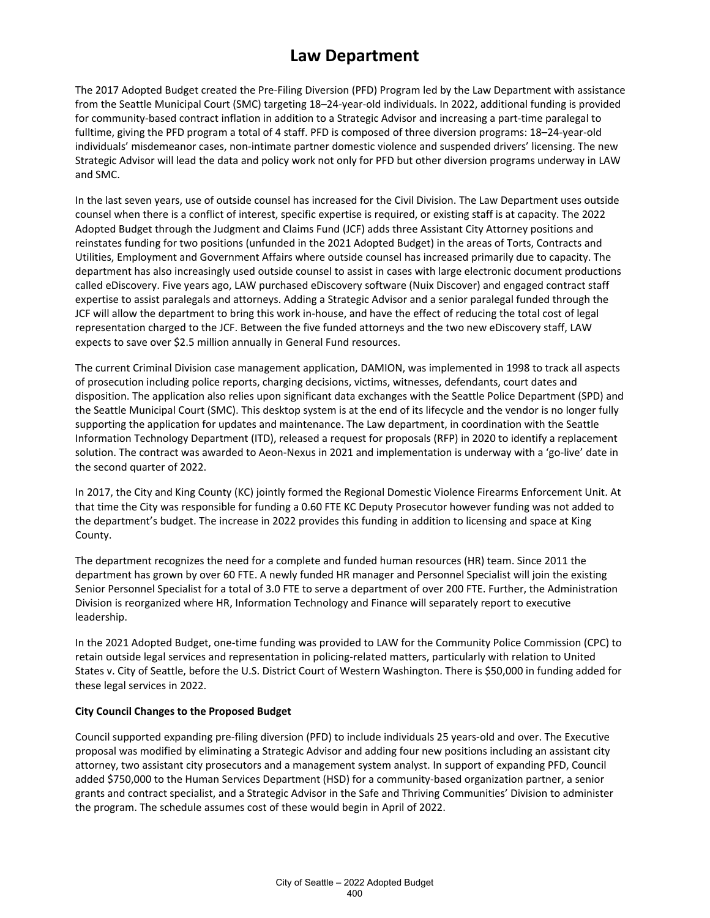The 2017 Adopted Budget created the Pre-Filing Diversion (PFD) Program led by the Law Department with assistance from the Seattle Municipal Court (SMC) targeting 18–24-year-old individuals. In 2022, additional funding is provided for community-based contract inflation in addition to a Strategic Advisor and increasing a part-time paralegal to fulltime, giving the PFD program a total of 4 staff. PFD is composed of three diversion programs: 18–24-year-old individuals' misdemeanor cases, non-intimate partner domestic violence and suspended drivers' licensing. The new Strategic Advisor will lead the data and policy work not only for PFD but other diversion programs underway in LAW and SMC.

In the last seven years, use of outside counsel has increased for the Civil Division. The Law Department uses outside counsel when there is a conflict of interest, specific expertise is required, or existing staff is at capacity. The 2022 Adopted Budget through the Judgment and Claims Fund (JCF) adds three Assistant City Attorney positions and reinstates funding for two positions (unfunded in the 2021 Adopted Budget) in the areas of Torts, Contracts and Utilities, Employment and Government Affairs where outside counsel has increased primarily due to capacity. The department has also increasingly used outside counsel to assist in cases with large electronic document productions called eDiscovery. Five years ago, LAW purchased eDiscovery software (Nuix Discover) and engaged contract staff expertise to assist paralegals and attorneys. Adding a Strategic Advisor and a senior paralegal funded through the JCF will allow the department to bring this work in-house, and have the effect of reducing the total cost of legal representation charged to the JCF. Between the five funded attorneys and the two new eDiscovery staff, LAW expects to save over \$2.5 million annually in General Fund resources.

The current Criminal Division case management application, DAMION, was implemented in 1998 to track all aspects of prosecution including police reports, charging decisions, victims, witnesses, defendants, court dates and disposition. The application also relies upon significant data exchanges with the Seattle Police Department (SPD) and the Seattle Municipal Court (SMC). This desktop system is at the end of its lifecycle and the vendor is no longer fully supporting the application for updates and maintenance. The Law department, in coordination with the Seattle Information Technology Department (ITD), released a request for proposals (RFP) in 2020 to identify a replacement solution. The contract was awarded to Aeon-Nexus in 2021 and implementation is underway with a 'go-live' date in the second quarter of 2022.

In 2017, the City and King County (KC) jointly formed the Regional Domestic Violence Firearms Enforcement Unit. At that time the City was responsible for funding a 0.60 FTE KC Deputy Prosecutor however funding was not added to the department's budget. The increase in 2022 provides this funding in addition to licensing and space at King County.

The department recognizes the need for a complete and funded human resources (HR) team. Since 2011 the department has grown by over 60 FTE. A newly funded HR manager and Personnel Specialist will join the existing Senior Personnel Specialist for a total of 3.0 FTE to serve a department of over 200 FTE. Further, the Administration Division is reorganized where HR, Information Technology and Finance will separately report to executive leadership.

In the 2021 Adopted Budget, one-time funding was provided to LAW for the Community Police Commission (CPC) to retain outside legal services and representation in policing-related matters, particularly with relation to United States v. City of Seattle, before the U.S. District Court of Western Washington. There is \$50,000 in funding added for these legal services in 2022.

#### **City Council Changes to the Proposed Budget**

Council supported expanding pre-filing diversion (PFD) to include individuals 25 years-old and over. The Executive proposal was modified by eliminating a Strategic Advisor and adding four new positions including an assistant city attorney, two assistant city prosecutors and a management system analyst. In support of expanding PFD, Council added \$750,000 to the Human Services Department (HSD) for a community-based organization partner, a senior grants and contract specialist, and a Strategic Advisor in the Safe and Thriving Communities' Division to administer the program. The schedule assumes cost of these would begin in April of 2022.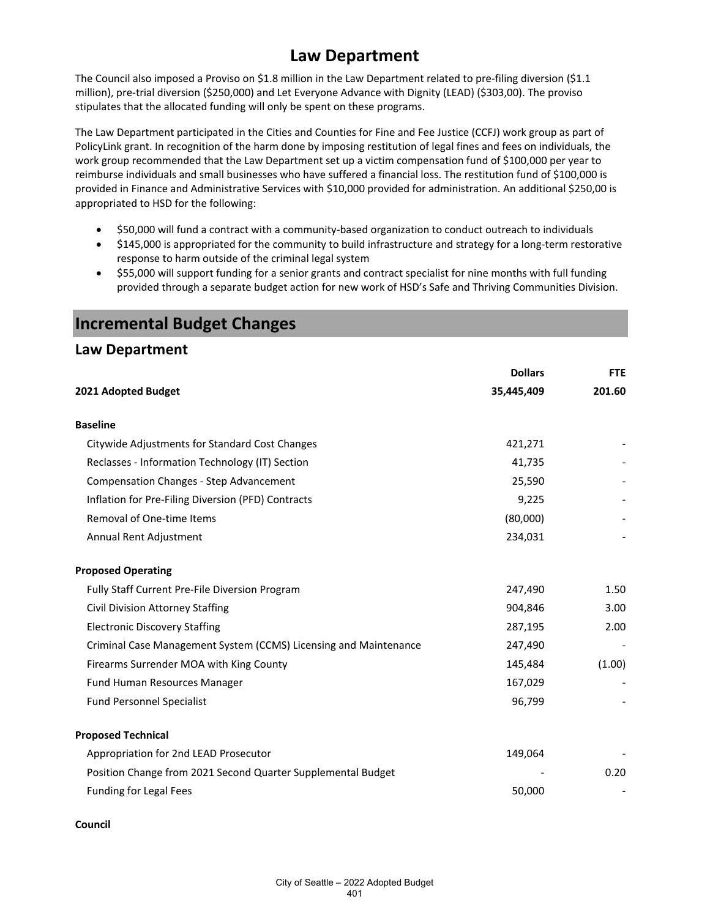The Council also imposed a Proviso on \$1.8 million in the Law Department related to pre-filing diversion (\$1.1 million), pre-trial diversion (\$250,000) and Let Everyone Advance with Dignity (LEAD) (\$303,00). The proviso stipulates that the allocated funding will only be spent on these programs.

The Law Department participated in the Cities and Counties for Fine and Fee Justice (CCFJ) work group as part of PolicyLink grant. In recognition of the harm done by imposing restitution of legal fines and fees on individuals, the work group recommended that the Law Department set up a victim compensation fund of \$100,000 per year to reimburse individuals and small businesses who have suffered a financial loss. The restitution fund of \$100,000 is provided in Finance and Administrative Services with \$10,000 provided for administration. An additional \$250,00 is appropriated to HSD for the following:

- \$50,000 will fund a contract with a community-based organization to conduct outreach to individuals
- \$145,000 is appropriated for the community to build infrastructure and strategy for a long-term restorative response to harm outside of the criminal legal system
- \$55,000 will support funding for a senior grants and contract specialist for nine months with full funding provided through a separate budget action for new work of HSD's Safe and Thriving Communities Division.

| Law Department                                                   |                |            |
|------------------------------------------------------------------|----------------|------------|
|                                                                  | <b>Dollars</b> | <b>FTE</b> |
| 2021 Adopted Budget                                              | 35,445,409     | 201.60     |
| <b>Baseline</b>                                                  |                |            |
| Citywide Adjustments for Standard Cost Changes                   | 421,271        |            |
| Reclasses - Information Technology (IT) Section                  | 41,735         |            |
| <b>Compensation Changes - Step Advancement</b>                   | 25,590         |            |
| Inflation for Pre-Filing Diversion (PFD) Contracts               | 9,225          |            |
| Removal of One-time Items                                        | (80,000)       |            |
| Annual Rent Adjustment                                           | 234,031        |            |
| <b>Proposed Operating</b>                                        |                |            |
| Fully Staff Current Pre-File Diversion Program                   | 247,490        | 1.50       |
| <b>Civil Division Attorney Staffing</b>                          | 904,846        | 3.00       |
| <b>Electronic Discovery Staffing</b>                             | 287,195        | 2.00       |
| Criminal Case Management System (CCMS) Licensing and Maintenance | 247,490        |            |
| Firearms Surrender MOA with King County                          | 145,484        | (1.00)     |
| Fund Human Resources Manager                                     | 167,029        |            |
| <b>Fund Personnel Specialist</b>                                 | 96,799         |            |
| <b>Proposed Technical</b>                                        |                |            |
| Appropriation for 2nd LEAD Prosecutor                            | 149,064        |            |
| Position Change from 2021 Second Quarter Supplemental Budget     |                | 0.20       |
| Funding for Legal Fees                                           | 50,000         |            |

### **Incremental Budget Changes**

### **Law Department**

#### **Council**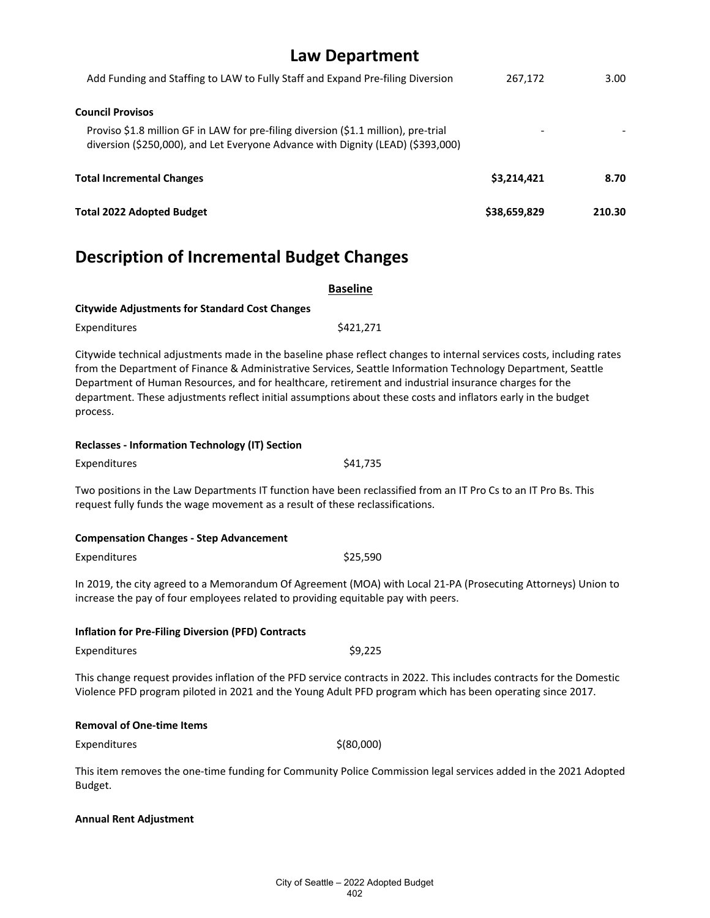| Law Department                                                                                                                                                         |              |        |
|------------------------------------------------------------------------------------------------------------------------------------------------------------------------|--------------|--------|
| Add Funding and Staffing to LAW to Fully Staff and Expand Pre-filing Diversion                                                                                         | 267,172      | 3.00   |
| <b>Council Provisos</b>                                                                                                                                                |              |        |
| Proviso \$1.8 million GF in LAW for pre-filing diversion (\$1.1 million), pre-trial<br>diversion (\$250,000), and Let Everyone Advance with Dignity (LEAD) (\$393,000) |              |        |
| <b>Total Incremental Changes</b>                                                                                                                                       | \$3,214,421  | 8.70   |
| <b>Total 2022 Adopted Budget</b>                                                                                                                                       | \$38,659,829 | 210.30 |
|                                                                                                                                                                        |              |        |

# **Description of Incremental Budget Changes**

| <b>Baseline</b>                                                                                                                                                                                                                     |                                                                                                                                                                                                                                       |  |
|-------------------------------------------------------------------------------------------------------------------------------------------------------------------------------------------------------------------------------------|---------------------------------------------------------------------------------------------------------------------------------------------------------------------------------------------------------------------------------------|--|
| <b>Citywide Adjustments for Standard Cost Changes</b>                                                                                                                                                                               |                                                                                                                                                                                                                                       |  |
| Expenditures                                                                                                                                                                                                                        | \$421,271                                                                                                                                                                                                                             |  |
| Department of Human Resources, and for healthcare, retirement and industrial insurance charges for the<br>department. These adjustments reflect initial assumptions about these costs and inflators early in the budget<br>process. | Citywide technical adjustments made in the baseline phase reflect changes to internal services costs, including rates<br>from the Department of Finance & Administrative Services, Seattle Information Technology Department, Seattle |  |
| <b>Reclasses - Information Technology (IT) Section</b>                                                                                                                                                                              |                                                                                                                                                                                                                                       |  |
| Expenditures                                                                                                                                                                                                                        | \$41,735                                                                                                                                                                                                                              |  |
| Two positions in the Law Departments IT function have been reclassified from an IT Pro Cs to an IT Pro Bs. This<br>request fully funds the wage movement as a result of these reclassifications.                                    |                                                                                                                                                                                                                                       |  |
| <b>Compensation Changes - Step Advancement</b>                                                                                                                                                                                      |                                                                                                                                                                                                                                       |  |
| Expenditures                                                                                                                                                                                                                        | \$25,590                                                                                                                                                                                                                              |  |
| In 2019, the city agreed to a Memorandum Of Agreement (MOA) with Local 21-PA (Prosecuting Attorneys) Union to<br>increase the pay of four employees related to providing equitable pay with peers.                                  |                                                                                                                                                                                                                                       |  |
| <b>Inflation for Pre-Filing Diversion (PFD) Contracts</b>                                                                                                                                                                           |                                                                                                                                                                                                                                       |  |
| Expenditures                                                                                                                                                                                                                        | \$9,225                                                                                                                                                                                                                               |  |
| Violence PFD program piloted in 2021 and the Young Adult PFD program which has been operating since 2017.                                                                                                                           | This change request provides inflation of the PFD service contracts in 2022. This includes contracts for the Domestic                                                                                                                 |  |
| <b>Removal of One-time Items</b>                                                                                                                                                                                                    |                                                                                                                                                                                                                                       |  |
| Expenditures                                                                                                                                                                                                                        | \$ (80,000)                                                                                                                                                                                                                           |  |
|                                                                                                                                                                                                                                     | This item removes the one-time funding for Community Police Commission legal services added in the 2021 Adopted                                                                                                                       |  |

Budget.

### **Annual Rent Adjustment**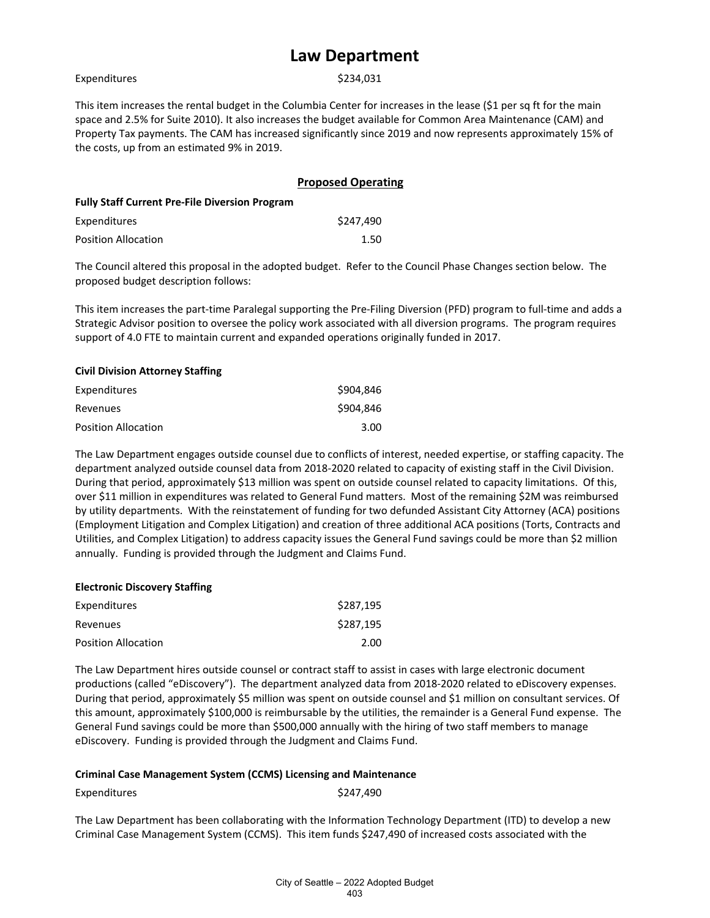| Expenditures |  |
|--------------|--|
|              |  |

\$234,031

This item increases the rental budget in the Columbia Center for increases in the lease (\$1 per sq ft for the main space and 2.5% for Suite 2010). It also increases the budget available for Common Area Maintenance (CAM) and Property Tax payments. The CAM has increased significantly since 2019 and now represents approximately 15% of the costs, up from an estimated 9% in 2019.

|                                                       | <b>Proposed Operating</b> |
|-------------------------------------------------------|---------------------------|
| <b>Fully Staff Current Pre-File Diversion Program</b> |                           |
| Expenditures                                          | \$247.490                 |
| Position Allocation                                   | 1.50                      |

The Council altered this proposal in the adopted budget. Refer to the Council Phase Changes section below. The proposed budget description follows:

This item increases the part-time Paralegal supporting the Pre-Filing Diversion (PFD) program to full-time and adds a Strategic Advisor position to oversee the policy work associated with all diversion programs. The program requires support of 4.0 FTE to maintain current and expanded operations originally funded in 2017.

#### **Civil Division Attorney Staffing**

| Expenditures               | \$904,846 |
|----------------------------|-----------|
| Revenues                   | \$904,846 |
| <b>Position Allocation</b> | 3.00      |

The Law Department engages outside counsel due to conflicts of interest, needed expertise, or staffing capacity. The department analyzed outside counsel data from 2018-2020 related to capacity of existing staff in the Civil Division. During that period, approximately \$13 million was spent on outside counsel related to capacity limitations. Of this, over \$11 million in expenditures was related to General Fund matters. Most of the remaining \$2M was reimbursed by utility departments. With the reinstatement of funding for two defunded Assistant City Attorney (ACA) positions (Employment Litigation and Complex Litigation) and creation of three additional ACA positions (Torts, Contracts and Utilities, and Complex Litigation) to address capacity issues the General Fund savings could be more than \$2 million annually. Funding is provided through the Judgment and Claims Fund.

#### **Electronic Discovery Staffing**

| Expenditures               | \$287.195 |
|----------------------------|-----------|
| Revenues                   | \$287.195 |
| <b>Position Allocation</b> | 2.00      |

The Law Department hires outside counsel or contract staff to assist in cases with large electronic document productions (called "eDiscovery"). The department analyzed data from 2018-2020 related to eDiscovery expenses. During that period, approximately \$5 million was spent on outside counsel and \$1 million on consultant services. Of this amount, approximately \$100,000 is reimbursable by the utilities, the remainder is a General Fund expense. The General Fund savings could be more than \$500,000 annually with the hiring of two staff members to manage eDiscovery. Funding is provided through the Judgment and Claims Fund.

#### **Criminal Case Management System (CCMS) Licensing and Maintenance**

Expenditures \$247,490

The Law Department has been collaborating with the Information Technology Department (ITD) to develop a new Criminal Case Management System (CCMS). This item funds \$247,490 of increased costs associated with the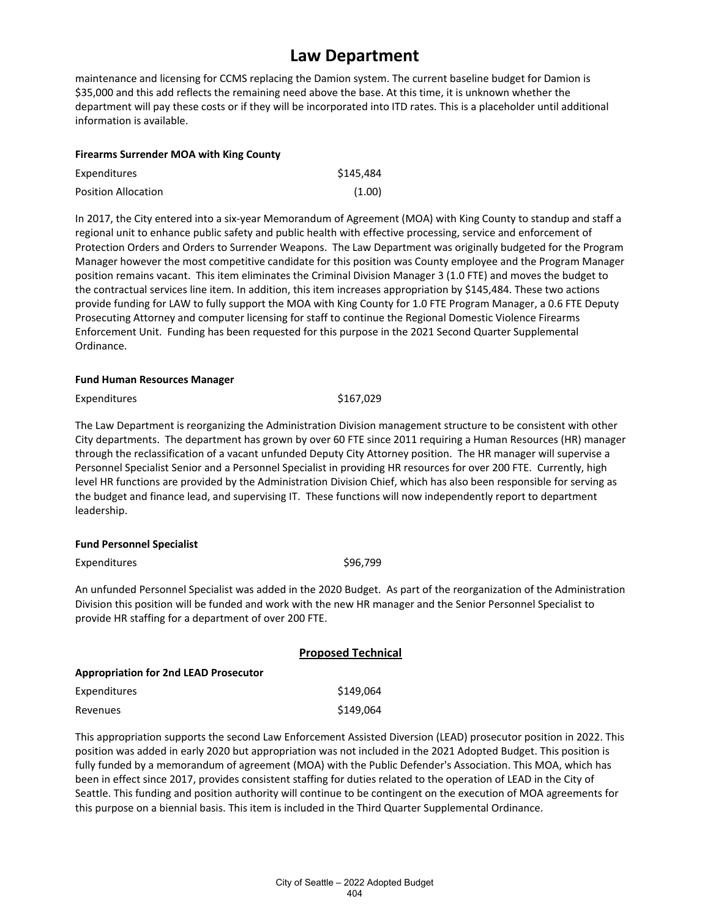maintenance and licensing for CCMS replacing the Damion system. The current baseline budget for Damion is \$35,000 and this add reflects the remaining need above the base. At this time, it is unknown whether the department will pay these costs or if they will be incorporated into ITD rates. This is a placeholder until additional information is available.

#### **Firearms Surrender MOA with King County**

| Expenditures               | \$145,484 |
|----------------------------|-----------|
| <b>Position Allocation</b> | (1.00)    |

In 2017, the City entered into a six-year Memorandum of Agreement (MOA) with King County to standup and staff a regional unit to enhance public safety and public health with effective processing, service and enforcement of Protection Orders and Orders to Surrender Weapons. The Law Department was originally budgeted for the Program Manager however the most competitive candidate for this position was County employee and the Program Manager position remains vacant. This item eliminates the Criminal Division Manager 3 (1.0 FTE) and moves the budget to the contractual services line item. In addition, this item increases appropriation by \$145,484. These two actions provide funding for LAW to fully support the MOA with King County for 1.0 FTE Program Manager, a 0.6 FTE Deputy Prosecuting Attorney and computer licensing for staff to continue the Regional Domestic Violence Firearms Enforcement Unit. Funding has been requested for this purpose in the 2021 Second Quarter Supplemental Ordinance.

#### **Fund Human Resources Manager**

Expenditures \$167,029

The Law Department is reorganizing the Administration Division management structure to be consistent with other City departments. The department has grown by over 60 FTE since 2011 requiring a Human Resources (HR) manager through the reclassification of a vacant unfunded Deputy City Attorney position. The HR manager will supervise a Personnel Specialist Senior and a Personnel Specialist in providing HR resources for over 200 FTE. Currently, high level HR functions are provided by the Administration Division Chief, which has also been responsible for serving as the budget and finance lead, and supervising IT. These functions will now independently report to department leadership.

#### **Fund Personnel Specialist**

Expenditures \$96,799

An unfunded Personnel Specialist was added in the 2020 Budget. As part of the reorganization of the Administration Division this position will be funded and work with the new HR manager and the Senior Personnel Specialist to provide HR staffing for a department of over 200 FTE.

|                                              | <b>Proposed Technical</b> |
|----------------------------------------------|---------------------------|
| <b>Appropriation for 2nd LEAD Prosecutor</b> |                           |
| Expenditures                                 | \$149.064                 |
| Revenues                                     | \$149,064                 |

This appropriation supports the second Law Enforcement Assisted Diversion (LEAD) prosecutor position in 2022. This position was added in early 2020 but appropriation was not included in the 2021 Adopted Budget. This position is fully funded by a memorandum of agreement (MOA) with the Public Defender's Association. This MOA, which has been in effect since 2017, provides consistent staffing for duties related to the operation of LEAD in the City of Seattle. This funding and position authority will continue to be contingent on the execution of MOA agreements for this purpose on a biennial basis. This item is included in the Third Quarter Supplemental Ordinance.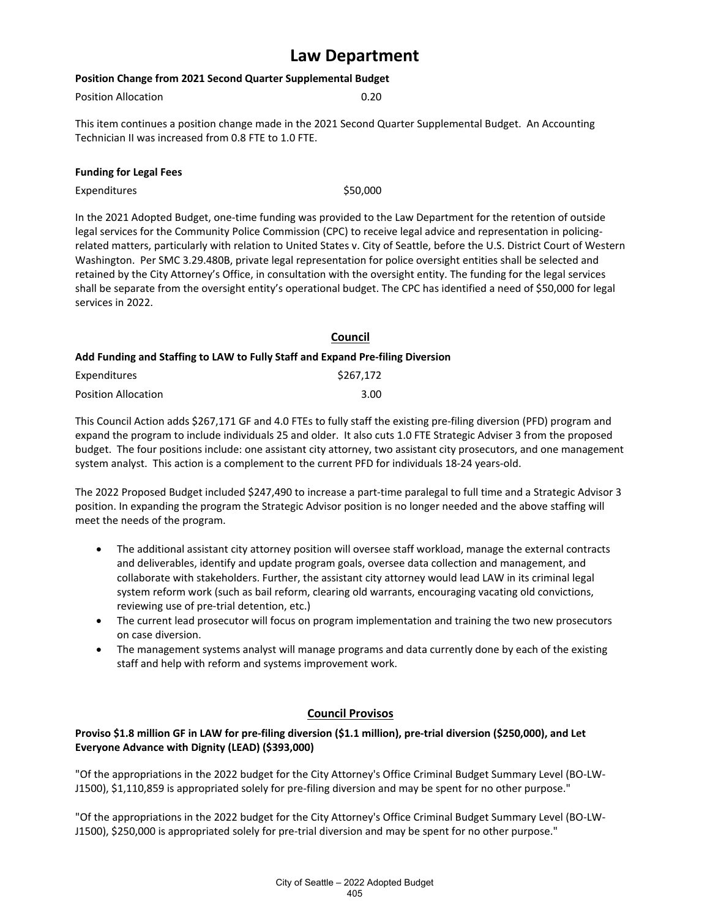#### **Position Change from 2021 Second Quarter Supplemental Budget**

| 0.20 |
|------|
|      |

This item continues a position change made in the 2021 Second Quarter Supplemental Budget. An Accounting Technician II was increased from 0.8 FTE to 1.0 FTE.

#### **Funding for Legal Fees**

Expenditures \$50,000

In the 2021 Adopted Budget, one-time funding was provided to the Law Department for the retention of outside legal services for the Community Police Commission (CPC) to receive legal advice and representation in policingrelated matters, particularly with relation to United States v. City of Seattle, before the U.S. District Court of Western Washington. Per SMC 3.29.480B, private legal representation for police oversight entities shall be selected and retained by the City Attorney's Office, in consultation with the oversight entity. The funding for the legal services shall be separate from the oversight entity's operational budget. The CPC has identified a need of \$50,000 for legal services in 2022.

### **Council Add Funding and Staffing to LAW to Fully Staff and Expand Pre-filing Diversion**

| Expenditures               | \$267,172 |
|----------------------------|-----------|
| <b>Position Allocation</b> | 3.00      |

This Council Action adds \$267,171 GF and 4.0 FTEs to fully staff the existing pre-filing diversion (PFD) program and expand the program to include individuals 25 and older. It also cuts 1.0 FTE Strategic Adviser 3 from the proposed budget. The four positions include: one assistant city attorney, two assistant city prosecutors, and one management system analyst. This action is a complement to the current PFD for individuals 18-24 years-old.

The 2022 Proposed Budget included \$247,490 to increase a part-time paralegal to full time and a Strategic Advisor 3 position. In expanding the program the Strategic Advisor position is no longer needed and the above staffing will meet the needs of the program.

- The additional assistant city attorney position will oversee staff workload, manage the external contracts and deliverables, identify and update program goals, oversee data collection and management, and collaborate with stakeholders. Further, the assistant city attorney would lead LAW in its criminal legal system reform work (such as bail reform, clearing old warrants, encouraging vacating old convictions, reviewing use of pre-trial detention, etc.)
- The current lead prosecutor will focus on program implementation and training the two new prosecutors on case diversion.
- The management systems analyst will manage programs and data currently done by each of the existing staff and help with reform and systems improvement work.

### **Council Provisos**

#### **Proviso \$1.8 million GF in LAW for pre-filing diversion (\$1.1 million), pre-trial diversion (\$250,000), and Let Everyone Advance with Dignity (LEAD) (\$393,000)**

"Of the appropriations in the 2022 budget for the City Attorney's Office Criminal Budget Summary Level (BO-LW-J1500), \$1,110,859 is appropriated solely for pre-filing diversion and may be spent for no other purpose."

"Of the appropriations in the 2022 budget for the City Attorney's Office Criminal Budget Summary Level (BO-LW-J1500), \$250,000 is appropriated solely for pre-trial diversion and may be spent for no other purpose."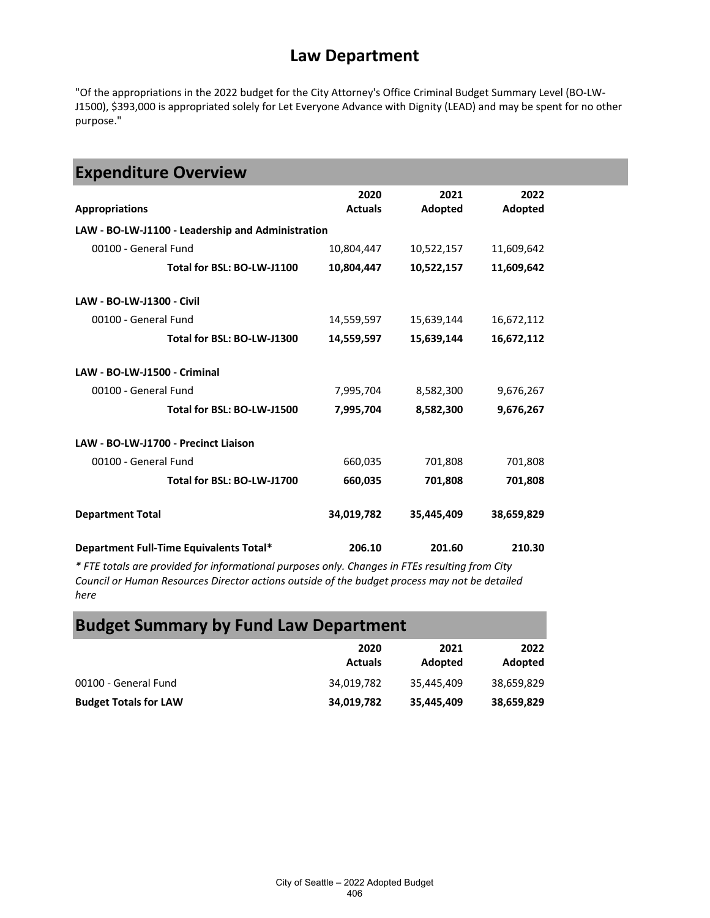"Of the appropriations in the 2022 budget for the City Attorney's Office Criminal Budget Summary Level (BO-LW-J1500), \$393,000 is appropriated solely for Let Everyone Advance with Dignity (LEAD) and may be spent for no other purpose."

| <b>Expenditure Overview</b>                       |                        |                 |                 |  |  |
|---------------------------------------------------|------------------------|-----------------|-----------------|--|--|
| <b>Appropriations</b>                             | 2020<br><b>Actuals</b> | 2021<br>Adopted | 2022<br>Adopted |  |  |
| LAW - BO-LW-J1100 - Leadership and Administration |                        |                 |                 |  |  |
| 00100 - General Fund                              | 10,804,447             | 10,522,157      | 11,609,642      |  |  |
| Total for BSL: BO-LW-J1100                        | 10,804,447             | 10,522,157      | 11,609,642      |  |  |
| LAW - BO-LW-J1300 - Civil                         |                        |                 |                 |  |  |
| 00100 - General Fund                              | 14,559,597             | 15,639,144      | 16,672,112      |  |  |
| Total for BSL: BO-LW-J1300                        | 14,559,597             | 15,639,144      | 16,672,112      |  |  |
| LAW - BO-LW-J1500 - Criminal                      |                        |                 |                 |  |  |
| 00100 - General Fund                              | 7,995,704              | 8,582,300       | 9,676,267       |  |  |
| Total for BSL: BO-LW-J1500                        | 7,995,704              | 8,582,300       | 9,676,267       |  |  |
| LAW - BO-LW-J1700 - Precinct Liaison              |                        |                 |                 |  |  |
| 00100 - General Fund                              | 660,035                | 701,808         | 701,808         |  |  |
| Total for BSL: BO-LW-J1700                        | 660,035                | 701,808         | 701,808         |  |  |
| <b>Department Total</b>                           | 34,019,782             | 35,445,409      | 38,659,829      |  |  |
| Department Full-Time Equivalents Total*           | 206.10                 | 201.60          | 210.30          |  |  |

*\* FTE totals are provided for informational purposes only. Changes in FTEs resulting from City Council or Human Resources Director actions outside of the budget process may not be detailed here*

# **Budget Summary by Fund Law Department**

|                              | 2020<br><b>Actuals</b> | 2021<br>Adopted | 2022<br>Adopted |
|------------------------------|------------------------|-----------------|-----------------|
| 00100 - General Fund         | 34,019,782             | 35,445,409      | 38,659,829      |
| <b>Budget Totals for LAW</b> | 34,019,782             | 35,445,409      | 38,659,829      |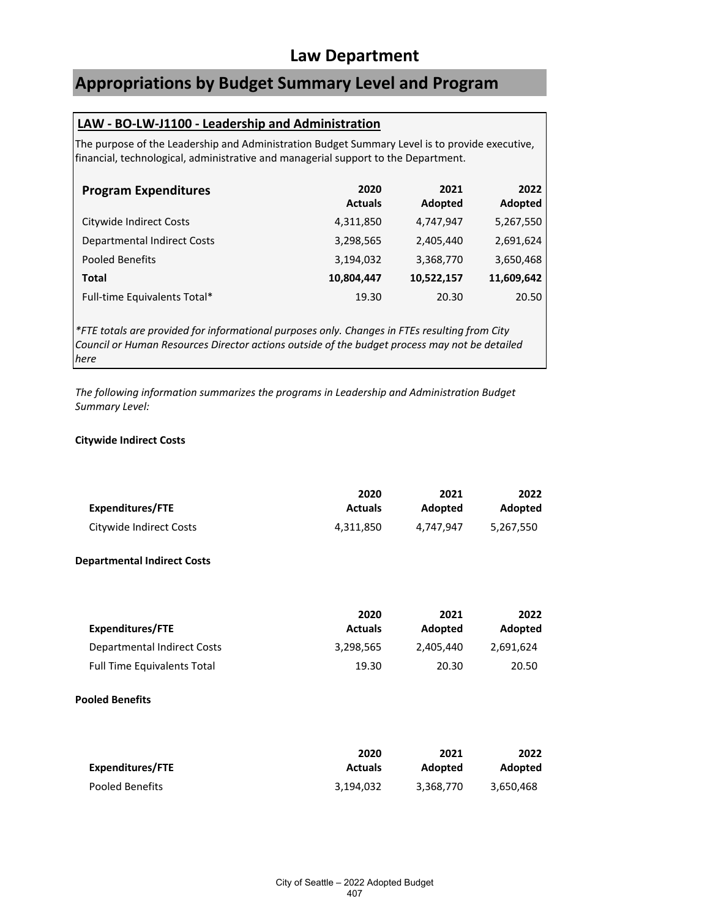# **Appropriations by Budget Summary Level and Program**

### **LAW - BO-LW-J1100 - Leadership and Administration**

The purpose of the Leadership and Administration Budget Summary Level is to provide executive, financial, technological, administrative and managerial support to the Department.

| <b>Program Expenditures</b>        | 2020<br><b>Actuals</b> | 2021<br>Adopted | 2022<br>Adopted |
|------------------------------------|------------------------|-----------------|-----------------|
| Citywide Indirect Costs            | 4,311,850              | 4,747,947       | 5,267,550       |
| <b>Departmental Indirect Costs</b> | 3,298,565              | 2,405,440       | 2,691,624       |
| <b>Pooled Benefits</b>             | 3,194,032              | 3,368,770       | 3,650,468       |
| Total                              | 10,804,447             | 10,522,157      | 11,609,642      |
| Full-time Equivalents Total*       | 19.30                  | 20.30           | 20.50           |

*\*FTE totals are provided for informational purposes only. Changes in FTEs resulting from City Council or Human Resources Director actions outside of the budget process may not be detailed here*

*The following information summarizes the programs in Leadership and Administration Budget Summary Level:*

#### **Citywide Indirect Costs**

|                         | 2020           | 2021      | 2022           |
|-------------------------|----------------|-----------|----------------|
| Expenditures/FTE        | <b>Actuals</b> | Adopted   | <b>Adopted</b> |
| Citywide Indirect Costs | 4.311.850      | 4.747.947 | 5.267.550      |

#### **Departmental Indirect Costs**

|                                    | 2020           | 2021           | 2022      |
|------------------------------------|----------------|----------------|-----------|
| Expenditures/FTE                   | <b>Actuals</b> | <b>Adopted</b> | Adopted   |
| Departmental Indirect Costs        | 3,298,565      | 2.405.440      | 2.691.624 |
| <b>Full Time Equivalents Total</b> | 19.30          | 20.30          | 20.50     |

#### **Pooled Benefits**

| Expenditures/FTE | 2020           | 2021      | 2022      |
|------------------|----------------|-----------|-----------|
|                  | <b>Actuals</b> | Adopted   | Adopted   |
| Pooled Benefits  | 3,194,032      | 3,368,770 | 3,650,468 |